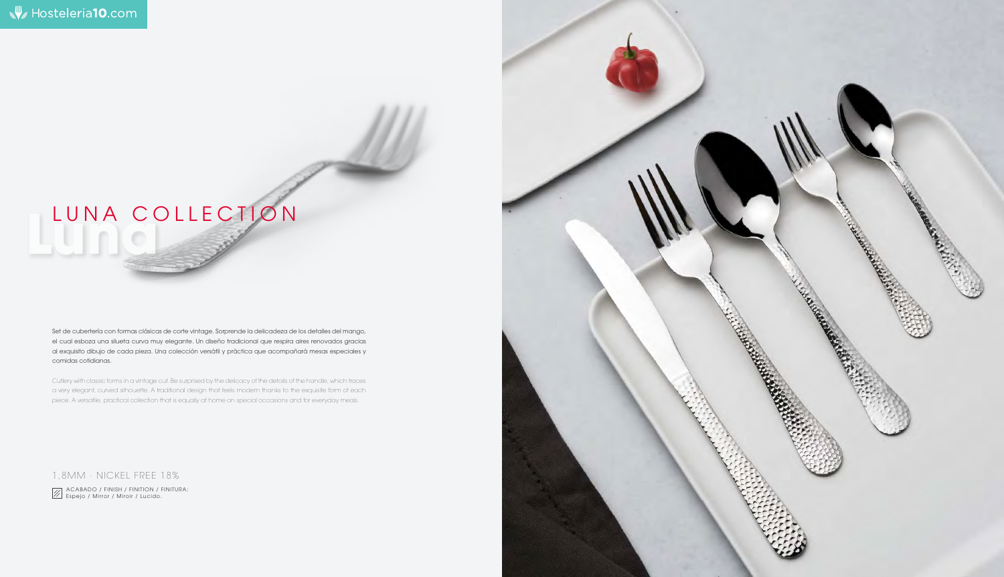

Set de cubertería con formas clásicas de corte vintage. Sorprende la delicadeza de los detalles del mango, el cual esboza una silueta curva muy elegante. Un diseño tradicional que respira aires renovados gracias al exquisito dibujo de cada pieza. Una colección versátil y práctica que acompañará mesas especiales y comidas cotidianas.

## **Luna** LUNA COLLECTION

Cutlery with classic forms in a vintage cut. Be surprised by the delicacy of the details of the handle, which traces a very elegant, curved silhouette. A traditional design that feels modern thanks to the exquisite form of each piece. A versatile, practical collection that is equally at home on special occasions and for everyday meals.

1,8MM · NICKEL FREE 18%

 ACABADO / FINISH / FINITION / FINITURA: Espejo / Mirror / Miroir / Lucido.